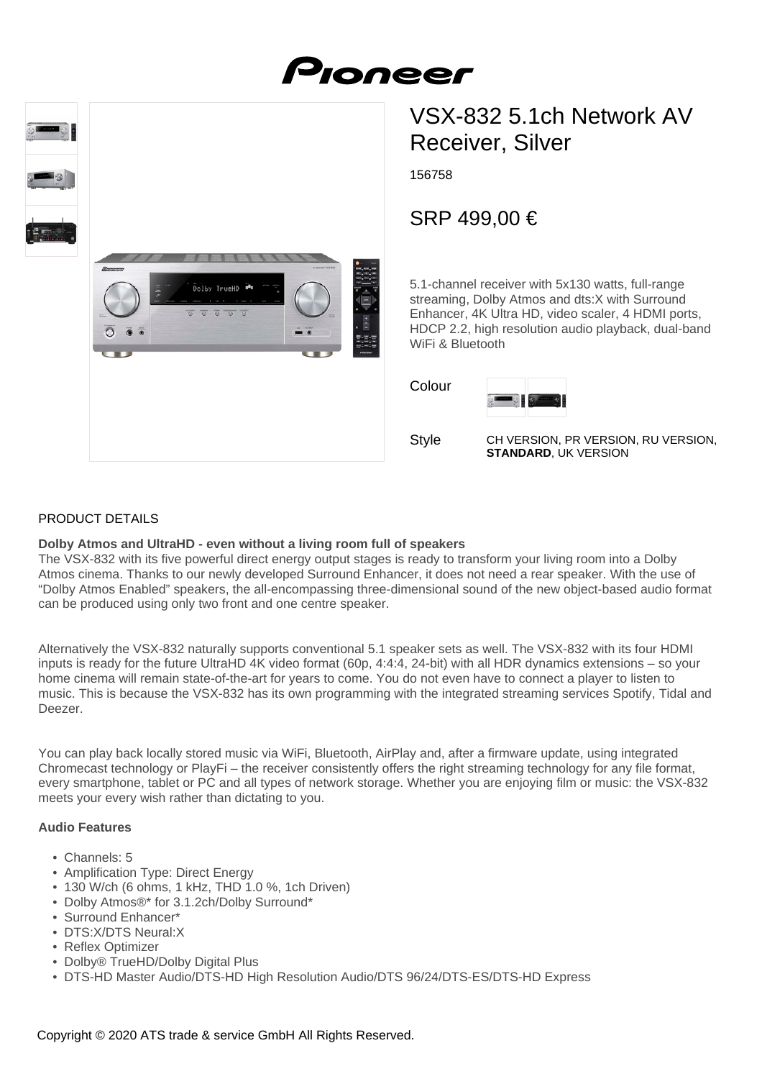



# SRP 499,00 €

5.1-channel receiver with 5x130 watts, full-range streaming, Dolby Atmos and dts:X with Surround Enhancer, 4K Ultra HD, video scaler, 4 HDMI ports, HDCP 2.2, high resolution audio playback, dual-band WiFi & Bluetooth

Colour



**Style** 

CH VERSION, PR VERSION, RU VERSION, **STANDARD**, UK VERSION

# PRODUCT DETAILS

#### **Dolby Atmos and UltraHD - even without a living room full of speakers**

י≝<br>Dolby TrueHD י

 $\overline{\circ}$   $\overline{\circ}$   $\overline{\circ}$ 

The VSX-832 with its five powerful direct energy output stages is ready to transform your living room into a Dolby Atmos cinema. Thanks to our newly developed Surround Enhancer, it does not need a rear speaker. With the use of "Dolby Atmos Enabled" speakers, the all-encompassing three-dimensional sound of the new object-based audio format can be produced using only two front and one centre speaker.

Alternatively the VSX-832 naturally supports conventional 5.1 speaker sets as well. The VSX-832 with its four HDMI inputs is ready for the future UltraHD 4K video format (60p, 4:4:4, 24-bit) with all HDR dynamics extensions – so your home cinema will remain state-of-the-art for years to come. You do not even have to connect a player to listen to music. This is because the VSX-832 has its own programming with the integrated streaming services Spotify, Tidal and Deezer.

You can play back locally stored music via WiFi, Bluetooth, AirPlay and, after a firmware update, using integrated Chromecast technology or PlayFi – the receiver consistently offers the right streaming technology for any file format, every smartphone, tablet or PC and all types of network storage. Whether you are enjoying film or music: the VSX-832 meets your every wish rather than dictating to you.

#### **Audio Features**

- Channels: 5
- Amplification Type: Direct Energy
- 130 W/ch (6 ohms, 1 kHz, THD 1.0 %, 1ch Driven)
- Dolby Atmos®\* for 3.1.2ch/Dolby Surround\*
- Surround Enhancer\*
- DTS:X/DTS Neural:X
- Reflex Optimizer
- Dolby® TrueHD/Dolby Digital Plus
- DTS-HD Master Audio/DTS-HD High Resolution Audio/DTS 96/24/DTS-ES/DTS-HD Express

## Copyright © 2020 ATS trade & service GmbH All Rights Reserved.